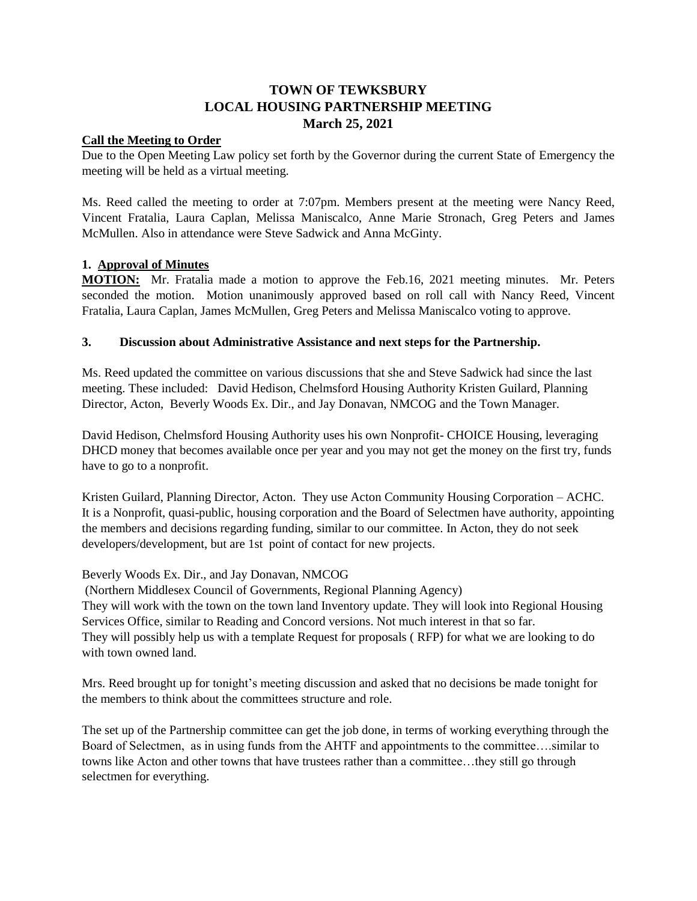# **TOWN OF TEWKSBURY LOCAL HOUSING PARTNERSHIP MEETING March 25, 2021**

#### **Call the Meeting to Order**

Due to the Open Meeting Law policy set forth by the Governor during the current State of Emergency the meeting will be held as a virtual meeting.

Ms. Reed called the meeting to order at 7:07pm. Members present at the meeting were Nancy Reed, Vincent Fratalia, Laura Caplan, Melissa Maniscalco, Anne Marie Stronach, Greg Peters and James McMullen. Also in attendance were Steve Sadwick and Anna McGinty.

#### **1. Approval of Minutes**

**MOTION:** Mr. Fratalia made a motion to approve the Feb.16, 2021 meeting minutes. Mr. Peters seconded the motion. Motion unanimously approved based on roll call with Nancy Reed, Vincent Fratalia, Laura Caplan, James McMullen, Greg Peters and Melissa Maniscalco voting to approve.

#### **3. Discussion about Administrative Assistance and next steps for the Partnership.**

Ms. Reed updated the committee on various discussions that she and Steve Sadwick had since the last meeting. These included: David Hedison, Chelmsford Housing Authority Kristen Guilard, Planning Director, Acton, Beverly Woods Ex. Dir., and Jay Donavan, NMCOG and the Town Manager.

David Hedison, Chelmsford Housing Authority uses his own Nonprofit- CHOICE Housing, leveraging DHCD money that becomes available once per year and you may not get the money on the first try, funds have to go to a nonprofit.

Kristen Guilard, Planning Director, Acton. They use Acton Community Housing Corporation – ACHC. It is a Nonprofit, quasi-public, housing corporation and the Board of Selectmen have authority, appointing the members and decisions regarding funding, similar to our committee. In Acton, they do not seek developers/development, but are 1st point of contact for new projects.

#### Beverly Woods Ex. Dir., and Jay Donavan, NMCOG

(Northern Middlesex Council of Governments, Regional Planning Agency) They will work with the town on the town land Inventory update. They will look into Regional Housing Services Office, similar to Reading and Concord versions. Not much interest in that so far. They will possibly help us with a template Request for proposals ( RFP) for what we are looking to do with town owned land.

Mrs. Reed brought up for tonight's meeting discussion and asked that no decisions be made tonight for the members to think about the committees structure and role.

The set up of the Partnership committee can get the job done, in terms of working everything through the Board of Selectmen, as in using funds from the AHTF and appointments to the committee….similar to towns like Acton and other towns that have trustees rather than a committee…they still go through selectmen for everything.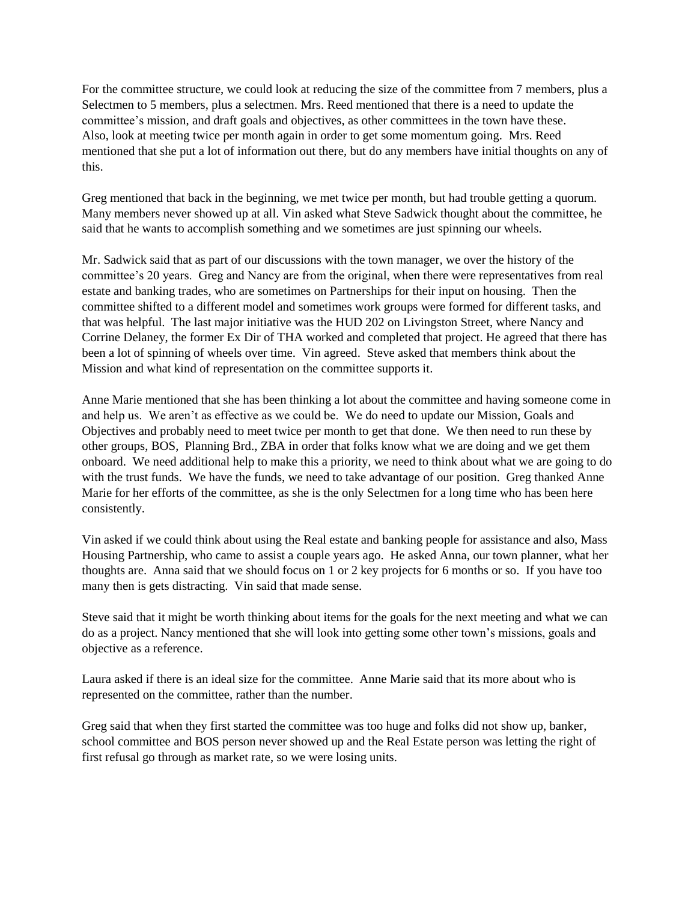For the committee structure, we could look at reducing the size of the committee from 7 members, plus a Selectmen to 5 members, plus a selectmen. Mrs. Reed mentioned that there is a need to update the committee's mission, and draft goals and objectives, as other committees in the town have these. Also, look at meeting twice per month again in order to get some momentum going. Mrs. Reed mentioned that she put a lot of information out there, but do any members have initial thoughts on any of this.

Greg mentioned that back in the beginning, we met twice per month, but had trouble getting a quorum. Many members never showed up at all. Vin asked what Steve Sadwick thought about the committee, he said that he wants to accomplish something and we sometimes are just spinning our wheels.

Mr. Sadwick said that as part of our discussions with the town manager, we over the history of the committee's 20 years. Greg and Nancy are from the original, when there were representatives from real estate and banking trades, who are sometimes on Partnerships for their input on housing. Then the committee shifted to a different model and sometimes work groups were formed for different tasks, and that was helpful. The last major initiative was the HUD 202 on Livingston Street, where Nancy and Corrine Delaney, the former Ex Dir of THA worked and completed that project. He agreed that there has been a lot of spinning of wheels over time. Vin agreed. Steve asked that members think about the Mission and what kind of representation on the committee supports it.

Anne Marie mentioned that she has been thinking a lot about the committee and having someone come in and help us. We aren't as effective as we could be. We do need to update our Mission, Goals and Objectives and probably need to meet twice per month to get that done. We then need to run these by other groups, BOS, Planning Brd., ZBA in order that folks know what we are doing and we get them onboard. We need additional help to make this a priority, we need to think about what we are going to do with the trust funds. We have the funds, we need to take advantage of our position. Greg thanked Anne Marie for her efforts of the committee, as she is the only Selectmen for a long time who has been here consistently.

Vin asked if we could think about using the Real estate and banking people for assistance and also, Mass Housing Partnership, who came to assist a couple years ago. He asked Anna, our town planner, what her thoughts are. Anna said that we should focus on 1 or 2 key projects for 6 months or so. If you have too many then is gets distracting. Vin said that made sense.

Steve said that it might be worth thinking about items for the goals for the next meeting and what we can do as a project. Nancy mentioned that she will look into getting some other town's missions, goals and objective as a reference.

Laura asked if there is an ideal size for the committee. Anne Marie said that its more about who is represented on the committee, rather than the number.

Greg said that when they first started the committee was too huge and folks did not show up, banker, school committee and BOS person never showed up and the Real Estate person was letting the right of first refusal go through as market rate, so we were losing units.